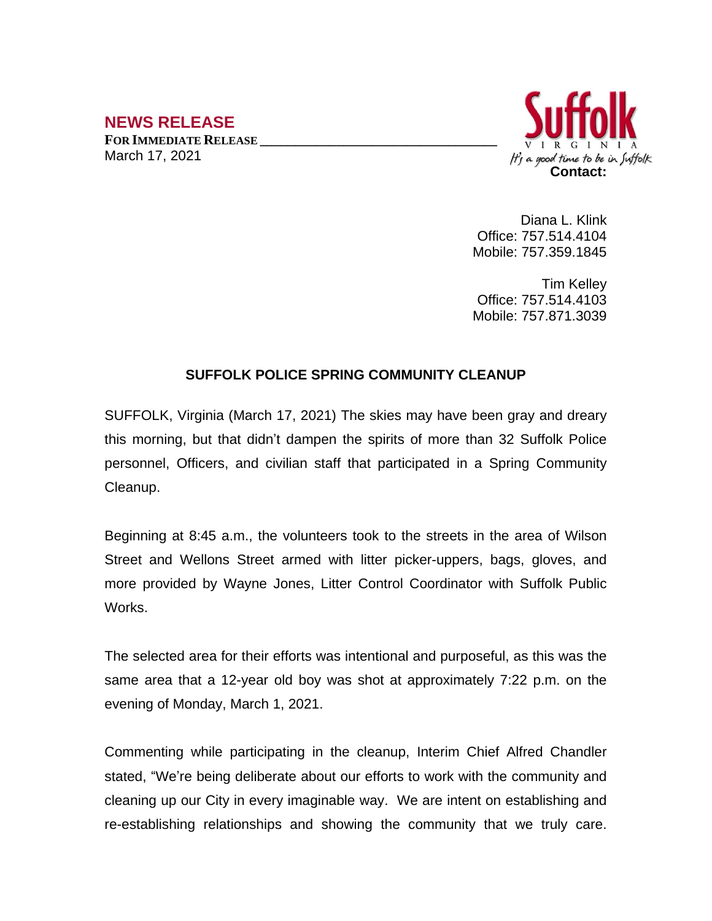## **NEWS RELEASE**

**FOR IMMEDIATE RELEASE \_\_\_\_\_\_\_\_\_\_\_\_\_\_\_\_\_\_\_\_\_\_\_\_\_\_\_\_\_\_\_\_\_\_** March 17, 2021



Diana L. Klink Office: 757.514.4104 Mobile: 757.359.1845

Tim Kelley Office: 757.514.4103 Mobile: 757.871.3039

## **SUFFOLK POLICE SPRING COMMUNITY CLEANUP**

SUFFOLK, Virginia (March 17, 2021) The skies may have been gray and dreary this morning, but that didn't dampen the spirits of more than 32 Suffolk Police personnel, Officers, and civilian staff that participated in a Spring Community Cleanup.

Beginning at 8:45 a.m., the volunteers took to the streets in the area of Wilson Street and Wellons Street armed with litter picker-uppers, bags, gloves, and more provided by Wayne Jones, Litter Control Coordinator with Suffolk Public Works.

The selected area for their efforts was intentional and purposeful, as this was the same area that a 12-year old boy was shot at approximately 7:22 p.m. on the evening of Monday, March 1, 2021.

Commenting while participating in the cleanup, Interim Chief Alfred Chandler stated, "We're being deliberate about our efforts to work with the community and cleaning up our City in every imaginable way. We are intent on establishing and re-establishing relationships and showing the community that we truly care.